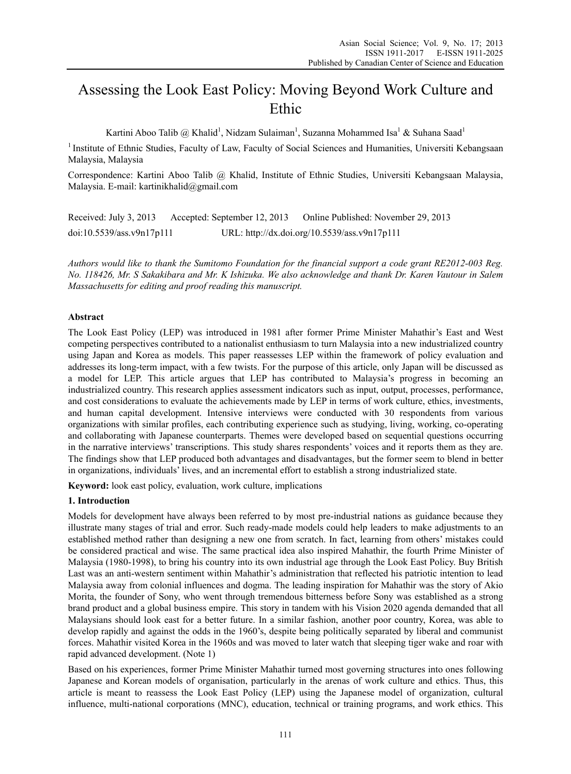# Assessing the Look East Policy: Moving Beyond Work Culture and Ethic

Kartini Aboo Talib @ Khalid<sup>1</sup>, Nidzam Sulaiman<sup>1</sup>, Suzanna Mohammed Isa<sup>1</sup> & Suhana Saad<sup>1</sup>

<sup>1</sup> Institute of Ethnic Studies, Faculty of Law, Faculty of Social Sciences and Humanities, Universiti Kebangsaan Malaysia, Malaysia

Correspondence: Kartini Aboo Talib @ Khalid, Institute of Ethnic Studies, Universiti Kebangsaan Malaysia, Malaysia. E-mail: kartinikhalid@gmail.com

Received: July 3, 2013 Accepted: September 12, 2013 Online Published: November 29, 2013 doi:10.5539/ass.v9n17p111 URL: http://dx.doi.org/10.5539/ass.v9n17p111

*Authors would like to thank the Sumitomo Foundation for the financial support a code grant RE2012-003 Reg. No. 118426, Mr. S Sakakibara and Mr. K Ishizuka. We also acknowledge and thank Dr. Karen Vautour in Salem Massachusetts for editing and proof reading this manuscript.* 

# **Abstract**

The Look East Policy (LEP) was introduced in 1981 after former Prime Minister Mahathir's East and West competing perspectives contributed to a nationalist enthusiasm to turn Malaysia into a new industrialized country using Japan and Korea as models. This paper reassesses LEP within the framework of policy evaluation and addresses its long-term impact, with a few twists. For the purpose of this article, only Japan will be discussed as a model for LEP. This article argues that LEP has contributed to Malaysia's progress in becoming an industrialized country. This research applies assessment indicators such as input, output, processes, performance, and cost considerations to evaluate the achievements made by LEP in terms of work culture, ethics, investments, and human capital development. Intensive interviews were conducted with 30 respondents from various organizations with similar profiles, each contributing experience such as studying, living, working, co-operating and collaborating with Japanese counterparts. Themes were developed based on sequential questions occurring in the narrative interviews' transcriptions. This study shares respondents' voices and it reports them as they are. The findings show that LEP produced both advantages and disadvantages, but the former seem to blend in better in organizations, individuals' lives, and an incremental effort to establish a strong industrialized state.

**Keyword:** look east policy, evaluation, work culture, implications

# **1. Introduction**

Models for development have always been referred to by most pre-industrial nations as guidance because they illustrate many stages of trial and error. Such ready-made models could help leaders to make adjustments to an established method rather than designing a new one from scratch. In fact, learning from others' mistakes could be considered practical and wise. The same practical idea also inspired Mahathir, the fourth Prime Minister of Malaysia (1980-1998), to bring his country into its own industrial age through the Look East Policy. Buy British Last was an anti-western sentiment within Mahathir's administration that reflected his patriotic intention to lead Malaysia away from colonial influences and dogma. The leading inspiration for Mahathir was the story of Akio Morita, the founder of Sony, who went through tremendous bitterness before Sony was established as a strong brand product and a global business empire. This story in tandem with his Vision 2020 agenda demanded that all Malaysians should look east for a better future. In a similar fashion, another poor country, Korea, was able to develop rapidly and against the odds in the 1960's, despite being politically separated by liberal and communist forces. Mahathir visited Korea in the 1960s and was moved to later watch that sleeping tiger wake and roar with rapid advanced development. (Note 1)

Based on his experiences, former Prime Minister Mahathir turned most governing structures into ones following Japanese and Korean models of organisation, particularly in the arenas of work culture and ethics. Thus, this article is meant to reassess the Look East Policy (LEP) using the Japanese model of organization, cultural influence, multi-national corporations (MNC), education, technical or training programs, and work ethics. This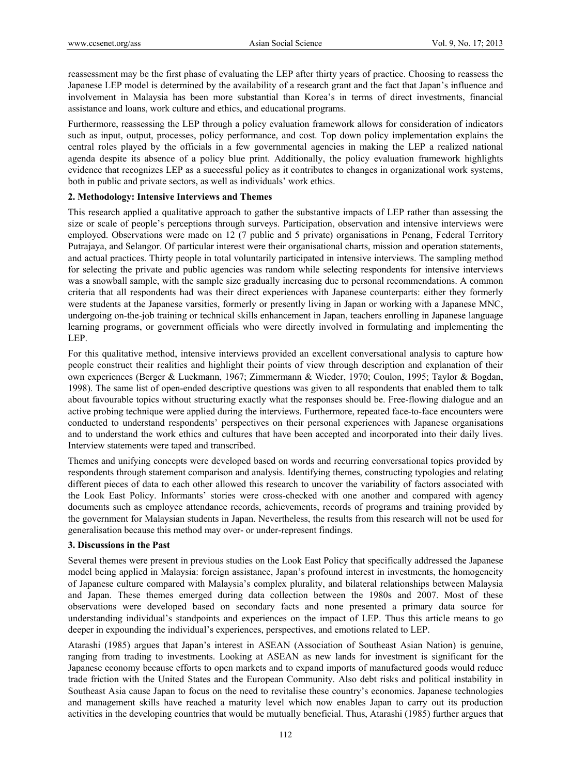reassessment may be the first phase of evaluating the LEP after thirty years of practice. Choosing to reassess the Japanese LEP model is determined by the availability of a research grant and the fact that Japan's influence and involvement in Malaysia has been more substantial than Korea's in terms of direct investments, financial assistance and loans, work culture and ethics, and educational programs.

Furthermore, reassessing the LEP through a policy evaluation framework allows for consideration of indicators such as input, output, processes, policy performance, and cost. Top down policy implementation explains the central roles played by the officials in a few governmental agencies in making the LEP a realized national agenda despite its absence of a policy blue print. Additionally, the policy evaluation framework highlights evidence that recognizes LEP as a successful policy as it contributes to changes in organizational work systems, both in public and private sectors, as well as individuals' work ethics.

#### **2. Methodology: Intensive Interviews and Themes**

This research applied a qualitative approach to gather the substantive impacts of LEP rather than assessing the size or scale of people's perceptions through surveys. Participation, observation and intensive interviews were employed. Observations were made on 12 (7 public and 5 private) organisations in Penang, Federal Territory Putrajaya, and Selangor. Of particular interest were their organisational charts, mission and operation statements, and actual practices. Thirty people in total voluntarily participated in intensive interviews. The sampling method for selecting the private and public agencies was random while selecting respondents for intensive interviews was a snowball sample, with the sample size gradually increasing due to personal recommendations. A common criteria that all respondents had was their direct experiences with Japanese counterparts: either they formerly were students at the Japanese varsities, formerly or presently living in Japan or working with a Japanese MNC, undergoing on-the-job training or technical skills enhancement in Japan, teachers enrolling in Japanese language learning programs, or government officials who were directly involved in formulating and implementing the LEP.

For this qualitative method, intensive interviews provided an excellent conversational analysis to capture how people construct their realities and highlight their points of view through description and explanation of their own experiences (Berger & Luckmann, 1967; Zimmermann & Wieder, 1970; Coulon, 1995; Taylor & Bogdan, 1998). The same list of open-ended descriptive questions was given to all respondents that enabled them to talk about favourable topics without structuring exactly what the responses should be. Free-flowing dialogue and an active probing technique were applied during the interviews. Furthermore, repeated face-to-face encounters were conducted to understand respondents' perspectives on their personal experiences with Japanese organisations and to understand the work ethics and cultures that have been accepted and incorporated into their daily lives. Interview statements were taped and transcribed.

Themes and unifying concepts were developed based on words and recurring conversational topics provided by respondents through statement comparison and analysis. Identifying themes, constructing typologies and relating different pieces of data to each other allowed this research to uncover the variability of factors associated with the Look East Policy. Informants' stories were cross-checked with one another and compared with agency documents such as employee attendance records, achievements, records of programs and training provided by the government for Malaysian students in Japan. Nevertheless, the results from this research will not be used for generalisation because this method may over- or under-represent findings.

#### **3. Discussions in the Past**

Several themes were present in previous studies on the Look East Policy that specifically addressed the Japanese model being applied in Malaysia: foreign assistance, Japan's profound interest in investments, the homogeneity of Japanese culture compared with Malaysia's complex plurality, and bilateral relationships between Malaysia and Japan. These themes emerged during data collection between the 1980s and 2007. Most of these observations were developed based on secondary facts and none presented a primary data source for understanding individual's standpoints and experiences on the impact of LEP. Thus this article means to go deeper in expounding the individual's experiences, perspectives, and emotions related to LEP.

Atarashi (1985) argues that Japan's interest in ASEAN (Association of Southeast Asian Nation) is genuine, ranging from trading to investments. Looking at ASEAN as new lands for investment is significant for the Japanese economy because efforts to open markets and to expand imports of manufactured goods would reduce trade friction with the United States and the European Community. Also debt risks and political instability in Southeast Asia cause Japan to focus on the need to revitalise these country's economics. Japanese technologies and management skills have reached a maturity level which now enables Japan to carry out its production activities in the developing countries that would be mutually beneficial. Thus, Atarashi (1985) further argues that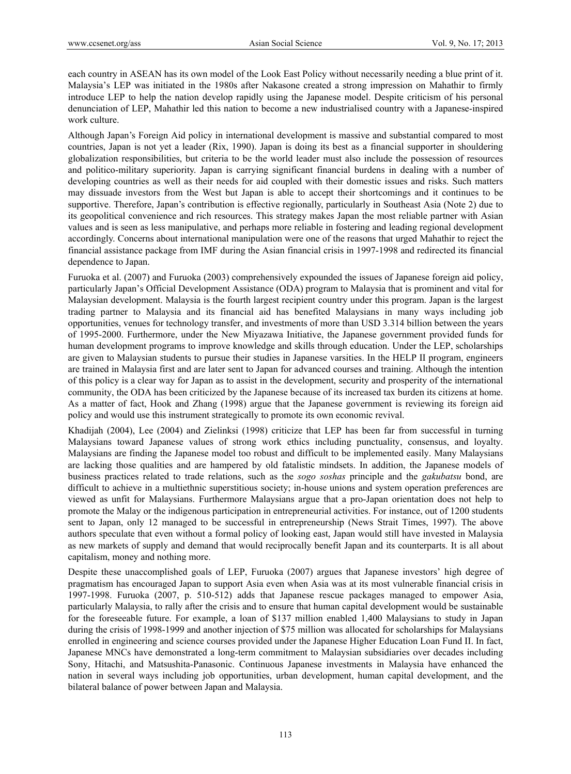each country in ASEAN has its own model of the Look East Policy without necessarily needing a blue print of it. Malaysia's LEP was initiated in the 1980s after Nakasone created a strong impression on Mahathir to firmly introduce LEP to help the nation develop rapidly using the Japanese model. Despite criticism of his personal denunciation of LEP, Mahathir led this nation to become a new industrialised country with a Japanese-inspired work culture.

Although Japan's Foreign Aid policy in international development is massive and substantial compared to most countries, Japan is not yet a leader (Rix, 1990). Japan is doing its best as a financial supporter in shouldering globalization responsibilities, but criteria to be the world leader must also include the possession of resources and politico-military superiority. Japan is carrying significant financial burdens in dealing with a number of developing countries as well as their needs for aid coupled with their domestic issues and risks. Such matters may dissuade investors from the West but Japan is able to accept their shortcomings and it continues to be supportive. Therefore, Japan's contribution is effective regionally, particularly in Southeast Asia (Note 2) due to its geopolitical convenience and rich resources. This strategy makes Japan the most reliable partner with Asian values and is seen as less manipulative, and perhaps more reliable in fostering and leading regional development accordingly. Concerns about international manipulation were one of the reasons that urged Mahathir to reject the financial assistance package from IMF during the Asian financial crisis in 1997-1998 and redirected its financial dependence to Japan.

Furuoka et al. (2007) and Furuoka (2003) comprehensively expounded the issues of Japanese foreign aid policy, particularly Japan's Official Development Assistance (ODA) program to Malaysia that is prominent and vital for Malaysian development. Malaysia is the fourth largest recipient country under this program. Japan is the largest trading partner to Malaysia and its financial aid has benefited Malaysians in many ways including job opportunities, venues for technology transfer, and investments of more than USD 3.314 billion between the years of 1995-2000. Furthermore, under the New Miyazawa Initiative, the Japanese government provided funds for human development programs to improve knowledge and skills through education. Under the LEP, scholarships are given to Malaysian students to pursue their studies in Japanese varsities. In the HELP II program, engineers are trained in Malaysia first and are later sent to Japan for advanced courses and training. Although the intention of this policy is a clear way for Japan as to assist in the development, security and prosperity of the international community, the ODA has been criticized by the Japanese because of its increased tax burden its citizens at home. As a matter of fact, Hook and Zhang (1998) argue that the Japanese government is reviewing its foreign aid policy and would use this instrument strategically to promote its own economic revival.

Khadijah (2004), Lee (2004) and Zielinksi (1998) criticize that LEP has been far from successful in turning Malaysians toward Japanese values of strong work ethics including punctuality, consensus, and loyalty. Malaysians are finding the Japanese model too robust and difficult to be implemented easily. Many Malaysians are lacking those qualities and are hampered by old fatalistic mindsets. In addition, the Japanese models of business practices related to trade relations, such as the *sogo soshas* principle and the *gakubatsu* bond, are difficult to achieve in a multiethnic superstitious society; in-house unions and system operation preferences are viewed as unfit for Malaysians. Furthermore Malaysians argue that a pro-Japan orientation does not help to promote the Malay or the indigenous participation in entrepreneurial activities. For instance, out of 1200 students sent to Japan, only 12 managed to be successful in entrepreneurship (News Strait Times, 1997). The above authors speculate that even without a formal policy of looking east, Japan would still have invested in Malaysia as new markets of supply and demand that would reciprocally benefit Japan and its counterparts. It is all about capitalism, money and nothing more.

Despite these unaccomplished goals of LEP, Furuoka (2007) argues that Japanese investors' high degree of pragmatism has encouraged Japan to support Asia even when Asia was at its most vulnerable financial crisis in 1997-1998. Furuoka (2007, p. 510-512) adds that Japanese rescue packages managed to empower Asia, particularly Malaysia, to rally after the crisis and to ensure that human capital development would be sustainable for the foreseeable future. For example, a loan of \$137 million enabled 1,400 Malaysians to study in Japan during the crisis of 1998-1999 and another injection of \$75 million was allocated for scholarships for Malaysians enrolled in engineering and science courses provided under the Japanese Higher Education Loan Fund II. In fact, Japanese MNCs have demonstrated a long-term commitment to Malaysian subsidiaries over decades including Sony, Hitachi, and Matsushita-Panasonic. Continuous Japanese investments in Malaysia have enhanced the nation in several ways including job opportunities, urban development, human capital development, and the bilateral balance of power between Japan and Malaysia.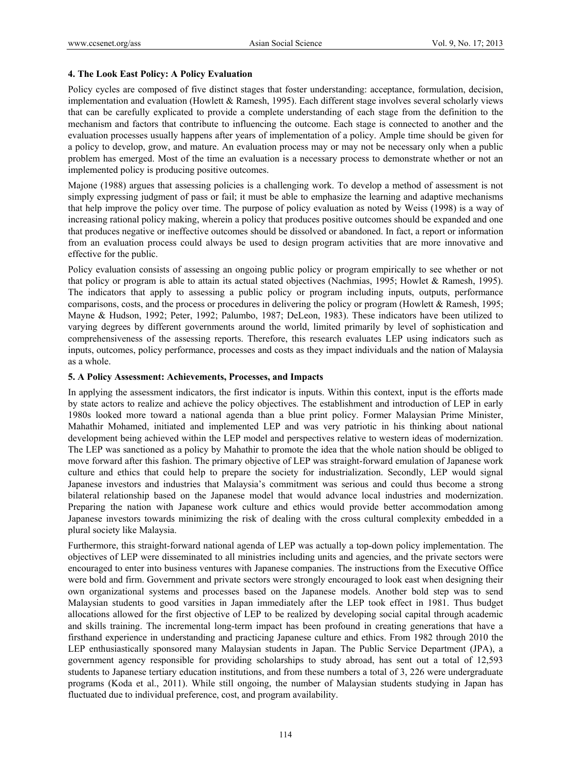#### **4. The Look East Policy: A Policy Evaluation**

Policy cycles are composed of five distinct stages that foster understanding: acceptance, formulation, decision, implementation and evaluation (Howlett & Ramesh, 1995). Each different stage involves several scholarly views that can be carefully explicated to provide a complete understanding of each stage from the definition to the mechanism and factors that contribute to influencing the outcome. Each stage is connected to another and the evaluation processes usually happens after years of implementation of a policy. Ample time should be given for a policy to develop, grow, and mature. An evaluation process may or may not be necessary only when a public problem has emerged. Most of the time an evaluation is a necessary process to demonstrate whether or not an implemented policy is producing positive outcomes.

Majone (1988) argues that assessing policies is a challenging work. To develop a method of assessment is not simply expressing judgment of pass or fail; it must be able to emphasize the learning and adaptive mechanisms that help improve the policy over time. The purpose of policy evaluation as noted by Weiss (1998) is a way of increasing rational policy making, wherein a policy that produces positive outcomes should be expanded and one that produces negative or ineffective outcomes should be dissolved or abandoned. In fact, a report or information from an evaluation process could always be used to design program activities that are more innovative and effective for the public.

Policy evaluation consists of assessing an ongoing public policy or program empirically to see whether or not that policy or program is able to attain its actual stated objectives (Nachmias, 1995; Howlet & Ramesh, 1995). The indicators that apply to assessing a public policy or program including inputs, outputs, performance comparisons, costs, and the process or procedures in delivering the policy or program (Howlett & Ramesh, 1995; Mayne & Hudson, 1992; Peter, 1992; Palumbo, 1987; DeLeon, 1983). These indicators have been utilized to varying degrees by different governments around the world, limited primarily by level of sophistication and comprehensiveness of the assessing reports. Therefore, this research evaluates LEP using indicators such as inputs, outcomes, policy performance, processes and costs as they impact individuals and the nation of Malaysia as a whole.

#### **5. A Policy Assessment: Achievements, Processes, and Impacts**

In applying the assessment indicators, the first indicator is inputs. Within this context, input is the efforts made by state actors to realize and achieve the policy objectives. The establishment and introduction of LEP in early 1980s looked more toward a national agenda than a blue print policy. Former Malaysian Prime Minister, Mahathir Mohamed, initiated and implemented LEP and was very patriotic in his thinking about national development being achieved within the LEP model and perspectives relative to western ideas of modernization. The LEP was sanctioned as a policy by Mahathir to promote the idea that the whole nation should be obliged to move forward after this fashion. The primary objective of LEP was straight-forward emulation of Japanese work culture and ethics that could help to prepare the society for industrialization. Secondly, LEP would signal Japanese investors and industries that Malaysia's commitment was serious and could thus become a strong bilateral relationship based on the Japanese model that would advance local industries and modernization. Preparing the nation with Japanese work culture and ethics would provide better accommodation among Japanese investors towards minimizing the risk of dealing with the cross cultural complexity embedded in a plural society like Malaysia.

Furthermore, this straight-forward national agenda of LEP was actually a top-down policy implementation. The objectives of LEP were disseminated to all ministries including units and agencies, and the private sectors were encouraged to enter into business ventures with Japanese companies. The instructions from the Executive Office were bold and firm. Government and private sectors were strongly encouraged to look east when designing their own organizational systems and processes based on the Japanese models. Another bold step was to send Malaysian students to good varsities in Japan immediately after the LEP took effect in 1981. Thus budget allocations allowed for the first objective of LEP to be realized by developing social capital through academic and skills training. The incremental long-term impact has been profound in creating generations that have a firsthand experience in understanding and practicing Japanese culture and ethics. From 1982 through 2010 the LEP enthusiastically sponsored many Malaysian students in Japan. The Public Service Department (JPA), a government agency responsible for providing scholarships to study abroad, has sent out a total of 12,593 students to Japanese tertiary education institutions, and from these numbers a total of 3, 226 were undergraduate programs (Koda et al., 2011). While still ongoing, the number of Malaysian students studying in Japan has fluctuated due to individual preference, cost, and program availability.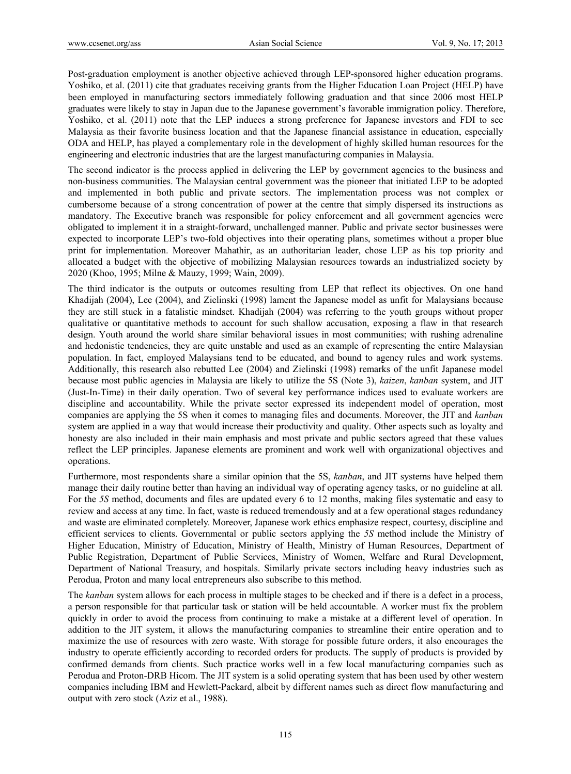Post-graduation employment is another objective achieved through LEP-sponsored higher education programs. Yoshiko, et al. (2011) cite that graduates receiving grants from the Higher Education Loan Project (HELP) have been employed in manufacturing sectors immediately following graduation and that since 2006 most HELP graduates were likely to stay in Japan due to the Japanese government's favorable immigration policy. Therefore, Yoshiko, et al. (2011) note that the LEP induces a strong preference for Japanese investors and FDI to see Malaysia as their favorite business location and that the Japanese financial assistance in education, especially ODA and HELP, has played a complementary role in the development of highly skilled human resources for the engineering and electronic industries that are the largest manufacturing companies in Malaysia.

The second indicator is the process applied in delivering the LEP by government agencies to the business and non-business communities. The Malaysian central government was the pioneer that initiated LEP to be adopted and implemented in both public and private sectors. The implementation process was not complex or cumbersome because of a strong concentration of power at the centre that simply dispersed its instructions as mandatory. The Executive branch was responsible for policy enforcement and all government agencies were obligated to implement it in a straight-forward, unchallenged manner. Public and private sector businesses were expected to incorporate LEP's two-fold objectives into their operating plans, sometimes without a proper blue print for implementation. Moreover Mahathir, as an authoritarian leader, chose LEP as his top priority and allocated a budget with the objective of mobilizing Malaysian resources towards an industrialized society by 2020 (Khoo, 1995; Milne & Mauzy, 1999; Wain, 2009).

The third indicator is the outputs or outcomes resulting from LEP that reflect its objectives. On one hand Khadijah (2004), Lee (2004), and Zielinski (1998) lament the Japanese model as unfit for Malaysians because they are still stuck in a fatalistic mindset. Khadijah (2004) was referring to the youth groups without proper qualitative or quantitative methods to account for such shallow accusation, exposing a flaw in that research design. Youth around the world share similar behavioral issues in most communities; with rushing adrenaline and hedonistic tendencies, they are quite unstable and used as an example of representing the entire Malaysian population. In fact, employed Malaysians tend to be educated, and bound to agency rules and work systems. Additionally, this research also rebutted Lee (2004) and Zielinski (1998) remarks of the unfit Japanese model because most public agencies in Malaysia are likely to utilize the 5S (Note 3), *kaizen*, *kanban* system, and JIT (Just-In-Time) in their daily operation. Two of several key performance indices used to evaluate workers are discipline and accountability. While the private sector expressed its independent model of operation, most companies are applying the 5S when it comes to managing files and documents. Moreover, the JIT and *kanban* system are applied in a way that would increase their productivity and quality. Other aspects such as loyalty and honesty are also included in their main emphasis and most private and public sectors agreed that these values reflect the LEP principles. Japanese elements are prominent and work well with organizational objectives and operations.

Furthermore, most respondents share a similar opinion that the 5S, *kanban*, and JIT systems have helped them manage their daily routine better than having an individual way of operating agency tasks, or no guideline at all. For the *5S* method, documents and files are updated every 6 to 12 months, making files systematic and easy to review and access at any time. In fact, waste is reduced tremendously and at a few operational stages redundancy and waste are eliminated completely. Moreover, Japanese work ethics emphasize respect, courtesy, discipline and efficient services to clients. Governmental or public sectors applying the *5S* method include the Ministry of Higher Education, Ministry of Education, Ministry of Health, Ministry of Human Resources, Department of Public Registration, Department of Public Services, Ministry of Women, Welfare and Rural Development, Department of National Treasury, and hospitals. Similarly private sectors including heavy industries such as Perodua, Proton and many local entrepreneurs also subscribe to this method.

The *kanban* system allows for each process in multiple stages to be checked and if there is a defect in a process, a person responsible for that particular task or station will be held accountable. A worker must fix the problem quickly in order to avoid the process from continuing to make a mistake at a different level of operation. In addition to the JIT system, it allows the manufacturing companies to streamline their entire operation and to maximize the use of resources with zero waste. With storage for possible future orders, it also encourages the industry to operate efficiently according to recorded orders for products. The supply of products is provided by confirmed demands from clients. Such practice works well in a few local manufacturing companies such as Perodua and Proton-DRB Hicom. The JIT system is a solid operating system that has been used by other western companies including IBM and Hewlett-Packard, albeit by different names such as direct flow manufacturing and output with zero stock (Aziz et al., 1988).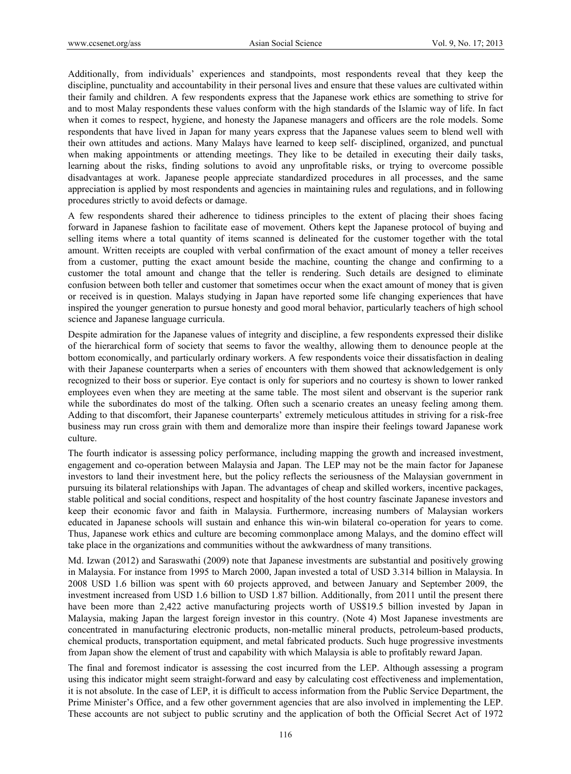Additionally, from individuals' experiences and standpoints, most respondents reveal that they keep the discipline, punctuality and accountability in their personal lives and ensure that these values are cultivated within their family and children. A few respondents express that the Japanese work ethics are something to strive for and to most Malay respondents these values conform with the high standards of the Islamic way of life. In fact when it comes to respect, hygiene, and honesty the Japanese managers and officers are the role models. Some respondents that have lived in Japan for many years express that the Japanese values seem to blend well with their own attitudes and actions. Many Malays have learned to keep self- disciplined, organized, and punctual when making appointments or attending meetings. They like to be detailed in executing their daily tasks, learning about the risks, finding solutions to avoid any unprofitable risks, or trying to overcome possible disadvantages at work. Japanese people appreciate standardized procedures in all processes, and the same appreciation is applied by most respondents and agencies in maintaining rules and regulations, and in following procedures strictly to avoid defects or damage.

A few respondents shared their adherence to tidiness principles to the extent of placing their shoes facing forward in Japanese fashion to facilitate ease of movement. Others kept the Japanese protocol of buying and selling items where a total quantity of items scanned is delineated for the customer together with the total amount. Written receipts are coupled with verbal confirmation of the exact amount of money a teller receives from a customer, putting the exact amount beside the machine, counting the change and confirming to a customer the total amount and change that the teller is rendering. Such details are designed to eliminate confusion between both teller and customer that sometimes occur when the exact amount of money that is given or received is in question. Malays studying in Japan have reported some life changing experiences that have inspired the younger generation to pursue honesty and good moral behavior, particularly teachers of high school science and Japanese language curricula.

Despite admiration for the Japanese values of integrity and discipline, a few respondents expressed their dislike of the hierarchical form of society that seems to favor the wealthy, allowing them to denounce people at the bottom economically, and particularly ordinary workers. A few respondents voice their dissatisfaction in dealing with their Japanese counterparts when a series of encounters with them showed that acknowledgement is only recognized to their boss or superior. Eye contact is only for superiors and no courtesy is shown to lower ranked employees even when they are meeting at the same table. The most silent and observant is the superior rank while the subordinates do most of the talking. Often such a scenario creates an uneasy feeling among them. Adding to that discomfort, their Japanese counterparts' extremely meticulous attitudes in striving for a risk-free business may run cross grain with them and demoralize more than inspire their feelings toward Japanese work culture.

The fourth indicator is assessing policy performance, including mapping the growth and increased investment, engagement and co-operation between Malaysia and Japan. The LEP may not be the main factor for Japanese investors to land their investment here, but the policy reflects the seriousness of the Malaysian government in pursuing its bilateral relationships with Japan. The advantages of cheap and skilled workers, incentive packages, stable political and social conditions, respect and hospitality of the host country fascinate Japanese investors and keep their economic favor and faith in Malaysia. Furthermore, increasing numbers of Malaysian workers educated in Japanese schools will sustain and enhance this win-win bilateral co-operation for years to come. Thus, Japanese work ethics and culture are becoming commonplace among Malays, and the domino effect will take place in the organizations and communities without the awkwardness of many transitions.

Md. Izwan (2012) and Saraswathi (2009) note that Japanese investments are substantial and positively growing in Malaysia. For instance from 1995 to March 2000, Japan invested a total of USD 3.314 billion in Malaysia. In 2008 USD 1.6 billion was spent with 60 projects approved, and between January and September 2009, the investment increased from USD 1.6 billion to USD 1.87 billion. Additionally, from 2011 until the present there have been more than 2,422 active manufacturing projects worth of US\$19.5 billion invested by Japan in Malaysia, making Japan the largest foreign investor in this country. (Note 4) Most Japanese investments are concentrated in manufacturing electronic products, non-metallic mineral products, petroleum-based products, chemical products, transportation equipment, and metal fabricated products. Such huge progressive investments from Japan show the element of trust and capability with which Malaysia is able to profitably reward Japan.

The final and foremost indicator is assessing the cost incurred from the LEP. Although assessing a program using this indicator might seem straight-forward and easy by calculating cost effectiveness and implementation, it is not absolute. In the case of LEP, it is difficult to access information from the Public Service Department, the Prime Minister's Office, and a few other government agencies that are also involved in implementing the LEP. These accounts are not subject to public scrutiny and the application of both the Official Secret Act of 1972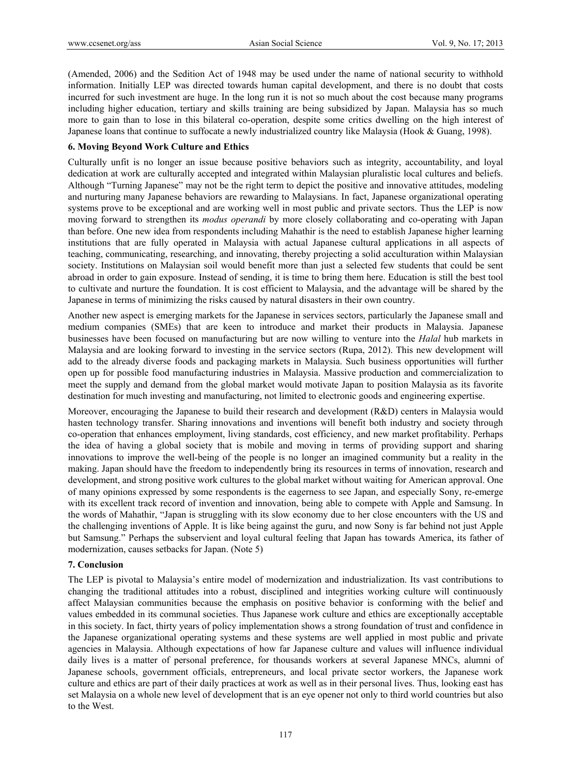(Amended, 2006) and the Sedition Act of 1948 may be used under the name of national security to withhold information. Initially LEP was directed towards human capital development, and there is no doubt that costs incurred for such investment are huge. In the long run it is not so much about the cost because many programs including higher education, tertiary and skills training are being subsidized by Japan. Malaysia has so much more to gain than to lose in this bilateral co-operation, despite some critics dwelling on the high interest of Japanese loans that continue to suffocate a newly industrialized country like Malaysia (Hook & Guang, 1998).

#### **6. Moving Beyond Work Culture and Ethics**

Culturally unfit is no longer an issue because positive behaviors such as integrity, accountability, and loyal dedication at work are culturally accepted and integrated within Malaysian pluralistic local cultures and beliefs. Although "Turning Japanese" may not be the right term to depict the positive and innovative attitudes, modeling and nurturing many Japanese behaviors are rewarding to Malaysians. In fact, Japanese organizational operating systems prove to be exceptional and are working well in most public and private sectors. Thus the LEP is now moving forward to strengthen its *modus operandi* by more closely collaborating and co-operating with Japan than before. One new idea from respondents including Mahathir is the need to establish Japanese higher learning institutions that are fully operated in Malaysia with actual Japanese cultural applications in all aspects of teaching, communicating, researching, and innovating, thereby projecting a solid acculturation within Malaysian society. Institutions on Malaysian soil would benefit more than just a selected few students that could be sent abroad in order to gain exposure. Instead of sending, it is time to bring them here. Education is still the best tool to cultivate and nurture the foundation. It is cost efficient to Malaysia, and the advantage will be shared by the Japanese in terms of minimizing the risks caused by natural disasters in their own country.

Another new aspect is emerging markets for the Japanese in services sectors, particularly the Japanese small and medium companies (SMEs) that are keen to introduce and market their products in Malaysia. Japanese businesses have been focused on manufacturing but are now willing to venture into the *Halal* hub markets in Malaysia and are looking forward to investing in the service sectors (Rupa, 2012). This new development will add to the already diverse foods and packaging markets in Malaysia. Such business opportunities will further open up for possible food manufacturing industries in Malaysia. Massive production and commercialization to meet the supply and demand from the global market would motivate Japan to position Malaysia as its favorite destination for much investing and manufacturing, not limited to electronic goods and engineering expertise.

Moreover, encouraging the Japanese to build their research and development (R&D) centers in Malaysia would hasten technology transfer. Sharing innovations and inventions will benefit both industry and society through co-operation that enhances employment, living standards, cost efficiency, and new market profitability. Perhaps the idea of having a global society that is mobile and moving in terms of providing support and sharing innovations to improve the well-being of the people is no longer an imagined community but a reality in the making. Japan should have the freedom to independently bring its resources in terms of innovation, research and development, and strong positive work cultures to the global market without waiting for American approval. One of many opinions expressed by some respondents is the eagerness to see Japan, and especially Sony, re-emerge with its excellent track record of invention and innovation, being able to compete with Apple and Samsung. In the words of Mahathir, "Japan is struggling with its slow economy due to her close encounters with the US and the challenging inventions of Apple. It is like being against the guru, and now Sony is far behind not just Apple but Samsung." Perhaps the subservient and loyal cultural feeling that Japan has towards America, its father of modernization, causes setbacks for Japan. (Note 5)

# **7. Conclusion**

The LEP is pivotal to Malaysia's entire model of modernization and industrialization. Its vast contributions to changing the traditional attitudes into a robust, disciplined and integrities working culture will continuously affect Malaysian communities because the emphasis on positive behavior is conforming with the belief and values embedded in its communal societies. Thus Japanese work culture and ethics are exceptionally acceptable in this society. In fact, thirty years of policy implementation shows a strong foundation of trust and confidence in the Japanese organizational operating systems and these systems are well applied in most public and private agencies in Malaysia. Although expectations of how far Japanese culture and values will influence individual daily lives is a matter of personal preference, for thousands workers at several Japanese MNCs, alumni of Japanese schools, government officials, entrepreneurs, and local private sector workers, the Japanese work culture and ethics are part of their daily practices at work as well as in their personal lives. Thus, looking east has set Malaysia on a whole new level of development that is an eye opener not only to third world countries but also to the West.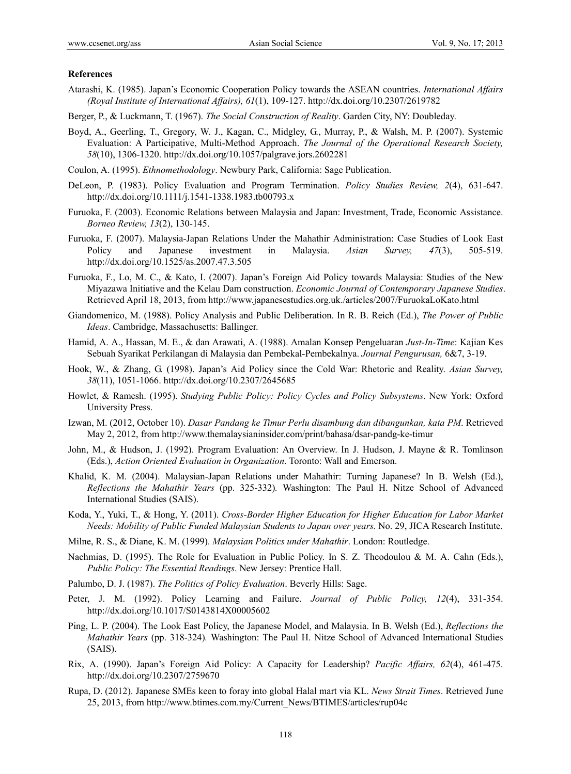#### **References**

- Atarashi, K. (1985). Japan's Economic Cooperation Policy towards the ASEAN countries. *International Affairs (Royal Institute of International Affairs), 61*(1), 109-127. http://dx.doi.org/10.2307/2619782
- Berger, P., & Luckmann, T. (1967). *The Social Construction of Reality*. Garden City, NY: Doubleday.
- Boyd, A., Geerling, T., Gregory, W. J., Kagan, C., Midgley, G., Murray, P., & Walsh, M. P. (2007). Systemic Evaluation: A Participative, Multi-Method Approach. *The Journal of the Operational Research Society, 58*(10), 1306-1320. http://dx.doi.org/10.1057/palgrave.jors.2602281
- Coulon, A. (1995). *Ethnomethodology*. Newbury Park, California: Sage Publication.
- DeLeon, P. (1983). Policy Evaluation and Program Termination. *Policy Studies Review, 2*(4), 631-647. http://dx.doi.org/10.1111/j.1541-1338.1983.tb00793.x
- Furuoka, F. (2003). Economic Relations between Malaysia and Japan: Investment, Trade, Economic Assistance. *Borneo Review, 13*(2), 130-145.
- Furuoka, F. (2007). Malaysia-Japan Relations Under the Mahathir Administration: Case Studies of Look East Policy and Japanese investment in Malaysia. *Asian Survey, 47*(3), 505-519. http://dx.doi.org/10.1525/as.2007.47.3.505
- Furuoka, F., Lo, M. C., & Kato, I. (2007). Japan's Foreign Aid Policy towards Malaysia: Studies of the New Miyazawa Initiative and the Kelau Dam construction. *Economic Journal of Contemporary Japanese Studies*. Retrieved April 18, 2013, from http://www.japanesestudies.org.uk./articles/2007/FuruokaLoKato.html
- Giandomenico, M. (1988). Policy Analysis and Public Deliberation. In R. B. Reich (Ed.), *The Power of Public Ideas*. Cambridge, Massachusetts: Ballinger.
- Hamid, A. A., Hassan, M. E., & dan Arawati, A. (1988). Amalan Konsep Pengeluaran *Just-In-Time*: Kajian Kes Sebuah Syarikat Perkilangan di Malaysia dan Pembekal-Pembekalnya. *Journal Pengurusan,* 6&7, 3-19.
- Hook, W., & Zhang, G. (1998). Japan's Aid Policy since the Cold War: Rhetoric and Reality. *Asian Survey, 38*(11), 1051-1066. http://dx.doi.org/10.2307/2645685
- Howlet, & Ramesh. (1995). *Studying Public Policy: Policy Cycles and Policy Subsystems*. New York: Oxford University Press.
- Izwan, M. (2012, October 10). *Dasar Pandang ke Timur Perlu disambung dan dibangunkan, kata PM*. Retrieved May 2, 2012, from http://www.themalaysianinsider.com/print/bahasa/dsar-pandg-ke-timur
- John, M., & Hudson, J. (1992). Program Evaluation: An Overview. In J. Hudson, J. Mayne & R. Tomlinson (Eds.), *Action Oriented Evaluation in Organization*. Toronto: Wall and Emerson.
- Khalid, K. M. (2004). Malaysian-Japan Relations under Mahathir: Turning Japanese? In B. Welsh (Ed.), *Reflections the Mahathir Years* (pp. 325-332)*.* Washington: The Paul H. Nitze School of Advanced International Studies (SAIS).
- Koda, Y., Yuki, T., & Hong, Y. (2011). *Cross-Border Higher Education for Higher Education for Labor Market Needs: Mobility of Public Funded Malaysian Students to Japan over years.* No. 29, JICA Research Institute.
- Milne, R. S., & Diane, K. M. (1999). *Malaysian Politics under Mahathir*. London: Routledge.
- Nachmias, D. (1995). The Role for Evaluation in Public Policy. In S. Z. Theodoulou & M. A. Cahn (Eds.), *Public Policy: The Essential Readings*. New Jersey: Prentice Hall.
- Palumbo, D. J. (1987). *The Politics of Policy Evaluation*. Beverly Hills: Sage.
- Peter, J. M. (1992). Policy Learning and Failure. *Journal of Public Policy, 12*(4), 331-354. http://dx.doi.org/10.1017/S0143814X00005602
- Ping, L. P. (2004). The Look East Policy, the Japanese Model, and Malaysia. In B. Welsh (Ed.), *Reflections the Mahathir Years* (pp. 318-324)*.* Washington: The Paul H. Nitze School of Advanced International Studies (SAIS).
- Rix, A. (1990). Japan's Foreign Aid Policy: A Capacity for Leadership? *Pacific Affairs, 62*(4), 461-475. http://dx.doi.org/10.2307/2759670
- Rupa, D. (2012). Japanese SMEs keen to foray into global Halal mart via KL. *News Strait Times*. Retrieved June 25, 2013, from http://www.btimes.com.my/Current\_News/BTIMES/articles/rup04c